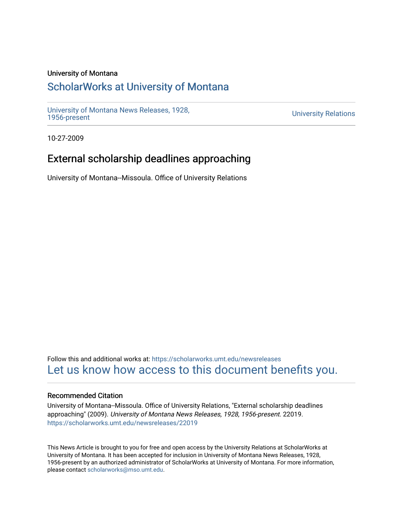### University of Montana

# [ScholarWorks at University of Montana](https://scholarworks.umt.edu/)

[University of Montana News Releases, 1928,](https://scholarworks.umt.edu/newsreleases) 

**University Relations** 

10-27-2009

# External scholarship deadlines approaching

University of Montana--Missoula. Office of University Relations

Follow this and additional works at: [https://scholarworks.umt.edu/newsreleases](https://scholarworks.umt.edu/newsreleases?utm_source=scholarworks.umt.edu%2Fnewsreleases%2F22019&utm_medium=PDF&utm_campaign=PDFCoverPages) [Let us know how access to this document benefits you.](https://goo.gl/forms/s2rGfXOLzz71qgsB2) 

### Recommended Citation

University of Montana--Missoula. Office of University Relations, "External scholarship deadlines approaching" (2009). University of Montana News Releases, 1928, 1956-present. 22019. [https://scholarworks.umt.edu/newsreleases/22019](https://scholarworks.umt.edu/newsreleases/22019?utm_source=scholarworks.umt.edu%2Fnewsreleases%2F22019&utm_medium=PDF&utm_campaign=PDFCoverPages) 

This News Article is brought to you for free and open access by the University Relations at ScholarWorks at University of Montana. It has been accepted for inclusion in University of Montana News Releases, 1928, 1956-present by an authorized administrator of ScholarWorks at University of Montana. For more information, please contact [scholarworks@mso.umt.edu.](mailto:scholarworks@mso.umt.edu)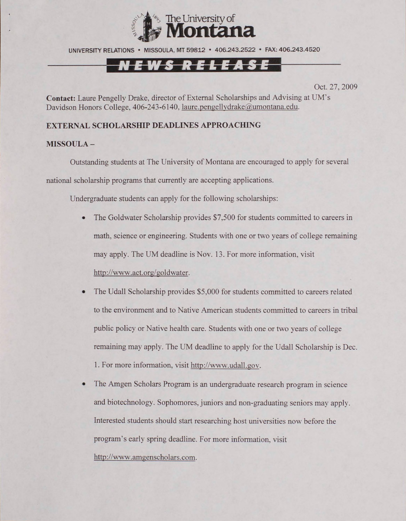

## NEWS RELEASE

Oct. 27, 2009

**Contact:** Laure Pengelly Drake, director of External Scholarships and Advising at UM's Davidson Honors College, 406-243-6140, laure.pengellydrake@umontana.edu.

#### **EXTERNAL SCHOLARSHIP DEADLINES APPROACHING**

#### **MISSOULA -**

Outstanding students at The University of Montana are encouraged to apply for several national scholarship programs that currently are accepting applications.

Undergraduate students can apply for the following scholarships:

- The Goldwater Scholarship provides \$7,500 for students committed to careers in math, science or engineering. Students with one or two years of college remaining may apply. The UM deadline is Nov. 13. For more information, visit [http://www.act.org/goldwater.](http://www.act.org/goldwater)
- The Udall Scholarship provides \$5,000 for students committed to careers related to the environment and to Native American students committed to careers in tribal public policy or Native health care. Students with one or two years of college remaining may apply. The UM deadline to apply for the Udall Scholarship is Dec. 1. For more information, visit [http://www.udall.gov.](http://www.udall.gov)
- The Amgen Scholars Program is an undergraduate research program in science and biotechnology. Sophomores, juniors and non-graduating seniors may apply. Interested students should start researching host universities now before the program's early spring deadline. For more information, visit [http://www.amgenscholars.com.](http://www.amgenscholars.com)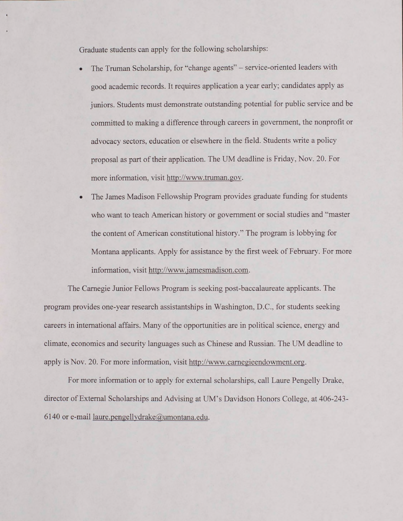Graduate students can apply for the following scholarships:

- The Truman Scholarship, for "change agents" service-oriented leaders with good academic records. It requires application a year early; candidates apply as juniors. Students must demonstrate outstanding potential for public service and be committed to making a difference through careers in government, the nonprofit or advocacy sectors, education or elsewhere in the field. Students write a policy proposal as part of their application. The UM deadline is Friday, Nov. 20. For more information, visit [http://www.truman.gov.](http://www.truman.gov)
- The James Madison Fellowship Program provides graduate funding for students who want to teach American history or government or social studies and "master the content of American constitutional history." The program is lobbying for Montana applicants. Apply for assistance by the first week of February. For more information, visit [http://www.iamesmadison.com.](http://www.iamesmadison.com)

The Carnegie Junior Fellows Program is seeking post-baccalaureate applicants. The program provides one-year research assistantships in Washington. D.C., for students seeking careers in international affairs. Many of the opportunities are in political science, energy and climate, economics and security languages such as Chinese and Russian. The UM deadline to apply is Nov. 20. For more information, visit http://[www.camegieendowment.org.](http://www.camegieendowment.org)

For more information or to apply for external scholarships, call Laure Pengelly Drake, director of External Scholarships and Advising at UM's Davidson Honors College, at 406-243- 6140 or e-mail [laure.pengellvdrake@umontana.edu.](mailto:laure.pengellvdrake@umontana.edu)